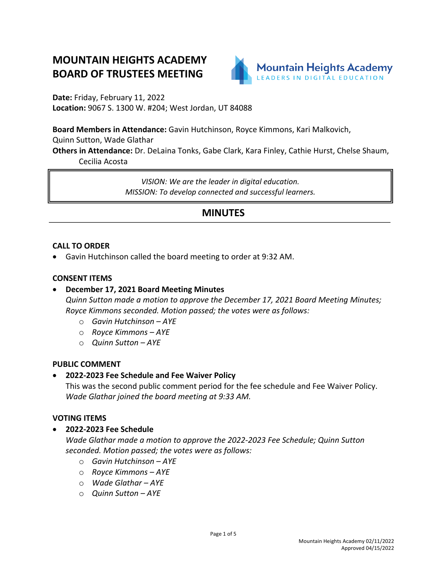# **MOUNTAIN HEIGHTS ACADEMY BOARD OF TRUSTEES MEETING**



**Date:** Friday, February 11, 2022 **Location:** 9067 S. 1300 W. #204; West Jordan, UT 84088

**Board Members in Attendance:** Gavin Hutchinson, Royce Kimmons, Kari Malkovich,

Quinn Sutton, Wade Glathar

**Others in Attendance:** Dr. DeLaina Tonks, Gabe Clark, Kara Finley, Cathie Hurst, Chelse Shaum, Cecilia Acosta

> *VISION: We are the leader in digital education. MISSION: To develop connected and successful learners.*

## **MINUTES**

#### **CALL TO ORDER**

• Gavin Hutchinson called the board meeting to order at 9:32 AM.

#### **CONSENT ITEMS**

- **December 17, 2021 Board Meeting Minutes** *Quinn Sutton made a motion to approve the December 17, 2021 Board Meeting Minutes; Royce Kimmons seconded. Motion passed; the votes were as follows:*
	- o *Gavin Hutchinson – AYE*
	- o *Royce Kimmons – AYE*
	- o *Quinn Sutton – AYE*

#### **PUBLIC COMMENT**

## • **2022-2023 Fee Schedule and Fee Waiver Policy**

This was the second public comment period for the fee schedule and Fee Waiver Policy. *Wade Glathar joined the board meeting at 9:33 AM.*

#### **VOTING ITEMS**

• **2022-2023 Fee Schedule**

*Wade Glathar made a motion to approve the 2022-2023 Fee Schedule; Quinn Sutton seconded. Motion passed; the votes were as follows:*

- o *Gavin Hutchinson – AYE*
- o *Royce Kimmons – AYE*
- o *Wade Glathar – AYE*
- o *Quinn Sutton – AYE*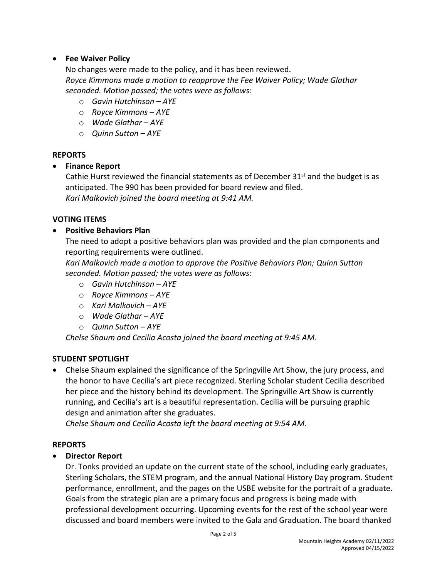#### • **Fee Waiver Policy**

No changes were made to the policy, and it has been reviewed. *Royce Kimmons made a motion to reapprove the Fee Waiver Policy; Wade Glathar seconded. Motion passed; the votes were as follows:*

- o *Gavin Hutchinson – AYE*
- o *Royce Kimmons – AYE*
- o *Wade Glathar – AYE*
- o *Quinn Sutton – AYE*

#### **REPORTS**

#### • **Finance Report**

Cathie Hurst reviewed the financial statements as of December  $31<sup>st</sup>$  and the budget is as anticipated. The 990 has been provided for board review and filed. *Kari Malkovich joined the board meeting at 9:41 AM.*

#### **VOTING ITEMS**

#### • **Positive Behaviors Plan**

The need to adopt a positive behaviors plan was provided and the plan components and reporting requirements were outlined.

*Kari Malkovich made a motion to approve the Positive Behaviors Plan; Quinn Sutton seconded. Motion passed; the votes were as follows:*

- o *Gavin Hutchinson – AYE*
- o *Royce Kimmons – AYE*
- o *Kari Malkovich – AYE*
- o *Wade Glathar – AYE*
- o *Quinn Sutton – AYE*

*Chelse Shaum and Cecilia Acosta joined the board meeting at 9:45 AM.*

#### **STUDENT SPOTLIGHT**

• Chelse Shaum explained the significance of the Springville Art Show, the jury process, and the honor to have Cecilia's art piece recognized. Sterling Scholar student Cecilia described her piece and the history behind its development. The Springville Art Show is currently running, and Cecilia's art is a beautiful representation. Cecilia will be pursuing graphic design and animation after she graduates.

*Chelse Shaum and Cecilia Acosta left the board meeting at 9:54 AM.*

#### **REPORTS**

## • **Director Report**

Dr. Tonks provided an update on the current state of the school, including early graduates, Sterling Scholars, the STEM program, and the annual National History Day program. Student performance, enrollment, and the pages on the USBE website for the portrait of a graduate. Goals from the strategic plan are a primary focus and progress is being made with professional development occurring. Upcoming events for the rest of the school year were discussed and board members were invited to the Gala and Graduation. The board thanked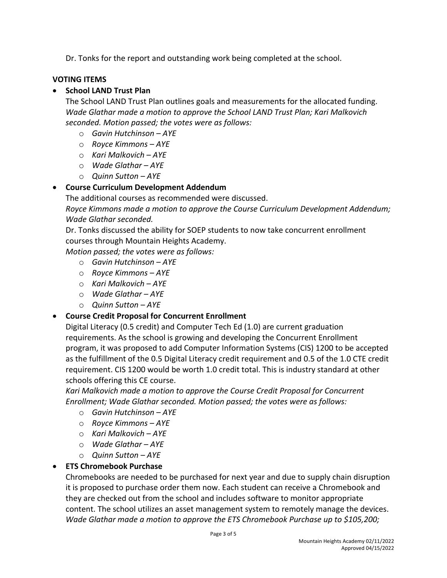Dr. Tonks for the report and outstanding work being completed at the school.

#### **VOTING ITEMS**

## • **School LAND Trust Plan**

The School LAND Trust Plan outlines goals and measurements for the allocated funding. *Wade Glathar made a motion to approve the School LAND Trust Plan; Kari Malkovich seconded. Motion passed; the votes were as follows:*

- o *Gavin Hutchinson – AYE*
- o *Royce Kimmons – AYE*
- o *Kari Malkovich – AYE*
- o *Wade Glathar – AYE*
- o *Quinn Sutton – AYE*

#### • **Course Curriculum Development Addendum**

The additional courses as recommended were discussed.

*Royce Kimmons made a motion to approve the Course Curriculum Development Addendum; Wade Glathar seconded.* 

Dr. Tonks discussed the ability for SOEP students to now take concurrent enrollment courses through Mountain Heights Academy.

*Motion passed; the votes were as follows:*

- o *Gavin Hutchinson – AYE*
- o *Royce Kimmons – AYE*
- o *Kari Malkovich – AYE*
- o *Wade Glathar – AYE*
- o *Quinn Sutton – AYE*

#### • **Course Credit Proposal for Concurrent Enrollment**

Digital Literacy (0.5 credit) and Computer Tech Ed (1.0) are current graduation requirements. As the school is growing and developing the Concurrent Enrollment program, it was proposed to add Computer Information Systems (CIS) 1200 to be accepted as the fulfillment of the 0.5 Digital Literacy credit requirement and 0.5 of the 1.0 CTE credit requirement. CIS 1200 would be worth 1.0 credit total. This is industry standard at other schools offering this CE course.

*Kari Malkovich made a motion to approve the Course Credit Proposal for Concurrent Enrollment; Wade Glathar seconded. Motion passed; the votes were as follows:*

- o *Gavin Hutchinson – AYE*
- o *Royce Kimmons – AYE*
- o *Kari Malkovich – AYE*
- o *Wade Glathar – AYE*
- o *Quinn Sutton – AYE*

#### • **ETS Chromebook Purchase**

Chromebooks are needed to be purchased for next year and due to supply chain disruption it is proposed to purchase order them now. Each student can receive a Chromebook and they are checked out from the school and includes software to monitor appropriate content. The school utilizes an asset management system to remotely manage the devices. *Wade Glathar made a motion to approve the ETS Chromebook Purchase up to \$105,200;*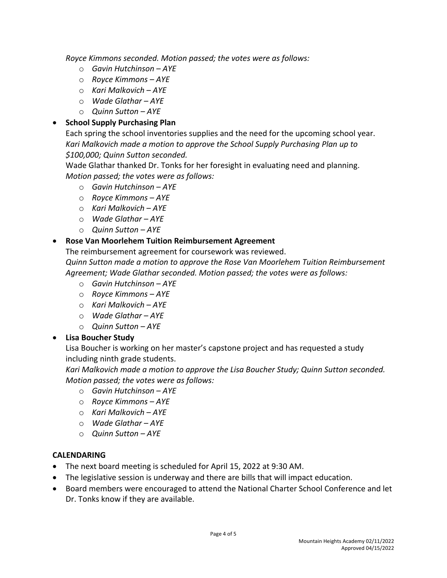*Royce Kimmons seconded. Motion passed; the votes were as follows:*

- o *Gavin Hutchinson – AYE*
- o *Royce Kimmons – AYE*
- o *Kari Malkovich – AYE*
- o *Wade Glathar – AYE*
- o *Quinn Sutton – AYE*

## • **School Supply Purchasing Plan**

Each spring the school inventories supplies and the need for the upcoming school year. *Kari Malkovich made a motion to approve the School Supply Purchasing Plan up to \$100,000; Quinn Sutton seconded.* 

Wade Glathar thanked Dr. Tonks for her foresight in evaluating need and planning. *Motion passed; the votes were as follows:*

- o *Gavin Hutchinson – AYE*
- o *Royce Kimmons – AYE*
- o *Kari Malkovich – AYE*
- o *Wade Glathar – AYE*
- o *Quinn Sutton – AYE*

## • **Rose Van Moorlehem Tuition Reimbursement Agreement**

The reimbursement agreement for coursework was reviewed. *Quinn Sutton made a motion to approve the Rose Van Moorlehem Tuition Reimbursement Agreement; Wade Glathar seconded. Motion passed; the votes were as follows:*

- o *Gavin Hutchinson – AYE*
- o *Royce Kimmons – AYE*
- o *Kari Malkovich – AYE*
- o *Wade Glathar – AYE*
- o *Quinn Sutton – AYE*

## • **Lisa Boucher Study**

Lisa Boucher is working on her master's capstone project and has requested a study including ninth grade students.

*Kari Malkovich made a motion to approve the Lisa Boucher Study; Quinn Sutton seconded. Motion passed; the votes were as follows:*

- o *Gavin Hutchinson – AYE*
- o *Royce Kimmons – AYE*
- o *Kari Malkovich – AYE*
- o *Wade Glathar – AYE*
- o *Quinn Sutton – AYE*

#### **CALENDARING**

- The next board meeting is scheduled for April 15, 2022 at 9:30 AM.
- The legislative session is underway and there are bills that will impact education.
- Board members were encouraged to attend the National Charter School Conference and let Dr. Tonks know if they are available.